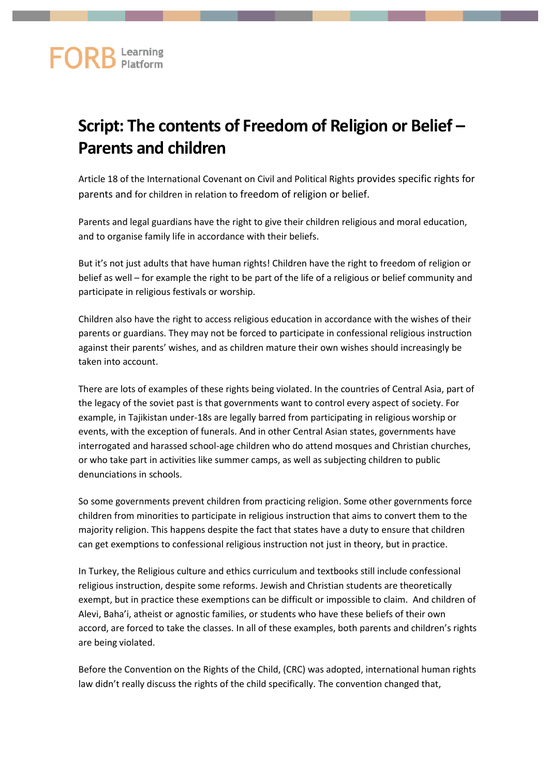## **FORB** Learning

## **Script: The contents of Freedom of Religion or Belief – Parents and children**

Article 18 of the International Covenant on Civil and Political Rights provides specific rights for parents and for children in relation to freedom of religion or belief.

Parents and legal guardians have the right to give their children religious and moral education, and to organise family life in accordance with their beliefs.

But it's not just adults that have human rights! Children have the right to freedom of religion or belief as well – for example the right to be part of the life of a religious or belief community and participate in religious festivals or worship.

Children also have the right to access religious education in accordance with the wishes of their parents or guardians. They may not be forced to participate in confessional religious instruction against their parents' wishes, and as children mature their own wishes should increasingly be taken into account.

There are lots of examples of these rights being violated. In the countries of Central Asia, part of the legacy of the soviet past is that governments want to control every aspect of society. For example, in Tajikistan under-18s are legally barred from participating in religious worship or events, with the exception of funerals. And in other Central Asian states, governments have interrogated and harassed school-age children who do attend mosques and Christian churches, or who take part in activities like summer camps, as well as subjecting children to public denunciations in schools.

So some governments prevent children from practicing religion. Some other governments force children from minorities to participate in religious instruction that aims to convert them to the majority religion. This happens despite the fact that states have a duty to ensure that children can get exemptions to confessional religious instruction not just in theory, but in practice.

In Turkey, the Religious culture and ethics curriculum and textbooks still include confessional religious instruction, despite some reforms. Jewish and Christian students are theoretically exempt, but in practice these exemptions can be difficult or impossible to claim. And children of Alevi, Baha'i, atheist or agnostic families, or students who have these beliefs of their own accord, are forced to take the classes. In all of these examples, both parents and children's rights are being violated.

Before the Convention on the Rights of the Child, (CRC) was adopted, international human rights law didn't really discuss the rights of the child specifically. The convention changed that,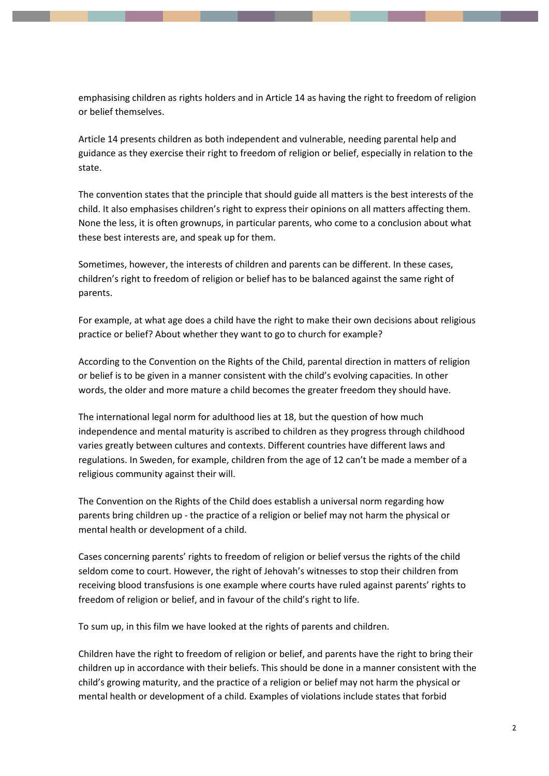emphasising children as rights holders and in Article 14 as having the right to freedom of religion or belief themselves.

Article 14 presents children as both independent and vulnerable, needing parental help and guidance as they exercise their right to freedom of religion or belief, especially in relation to the state.

The convention states that the principle that should guide all matters is the best interests of the child. It also emphasises children's right to express their opinions on all matters affecting them. None the less, it is often grownups, in particular parents, who come to a conclusion about what these best interests are, and speak up for them.

Sometimes, however, the interests of children and parents can be different. In these cases, children's right to freedom of religion or belief has to be balanced against the same right of parents.

For example, at what age does a child have the right to make their own decisions about religious practice or belief? About whether they want to go to church for example?

According to the Convention on the Rights of the Child, parental direction in matters of religion or belief is to be given in a manner consistent with the child's evolving capacities. In other words, the older and more mature a child becomes the greater freedom they should have.

The international legal norm for adulthood lies at 18, but the question of how much independence and mental maturity is ascribed to children as they progress through childhood varies greatly between cultures and contexts. Different countries have different laws and regulations. In Sweden, for example, children from the age of 12 can't be made a member of a religious community against their will.

The Convention on the Rights of the Child does establish a universal norm regarding how parents bring children up - the practice of a religion or belief may not harm the physical or mental health or development of a child.

Cases concerning parents' rights to freedom of religion or belief versus the rights of the child seldom come to court. However, the right of Jehovah's witnesses to stop their children from receiving blood transfusions is one example where courts have ruled against parents' rights to freedom of religion or belief, and in favour of the child's right to life.

To sum up, in this film we have looked at the rights of parents and children.

Children have the right to freedom of religion or belief, and parents have the right to bring their children up in accordance with their beliefs. This should be done in a manner consistent with the child's growing maturity, and the practice of a religion or belief may not harm the physical or mental health or development of a child. Examples of violations include states that forbid